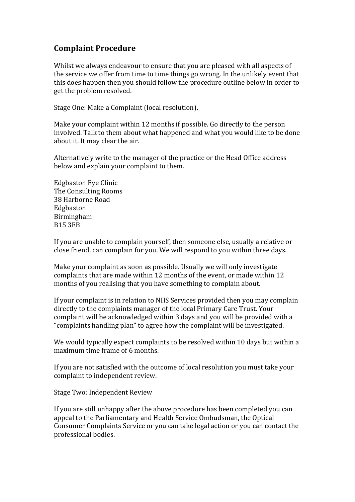## **Complaint Procedure**

Whilst we always endeavour to ensure that you are pleased with all aspects of the service we offer from time to time things go wrong. In the unlikely event that this does happen then you should follow the procedure outline below in order to get the problem resolved.

Stage One: Make a Complaint (local resolution).

Make your complaint within 12 months if possible. Go directly to the person involved. Talk to them about what happened and what you would like to be done about it. It may clear the air.

Alternatively write to the manager of the practice or the Head Office address below and explain your complaint to them.

Edgbaston Eye Clinic The Consulting Rooms 38 Harborne Road Edgbaston Birmingham B15 3EB

If you are unable to complain yourself, then someone else, usually a relative or close friend, can complain for you. We will respond to you within three days.

Make your complaint as soon as possible. Usually we will only investigate complaints that are made within 12 months of the event, or made within 12 months of you realising that you have something to complain about.

If your complaint is in relation to NHS Services provided then you may complain directly to the complaints manager of the local Primary Care Trust. Your complaint will be acknowledged within 3 days and you will be provided with a "complaints handling plan" to agree how the complaint will be investigated.

We would typically expect complaints to be resolved within 10 days but within a maximum time frame of 6 months.

If you are not satisfied with the outcome of local resolution you must take your complaint to independent review.

Stage Two: Independent Review

If you are still unhappy after the above procedure has been completed you can appeal to the Parliamentary and Health Service Ombudsman, the Optical Consumer Complaints Service or you can take legal action or you can contact the professional bodies.